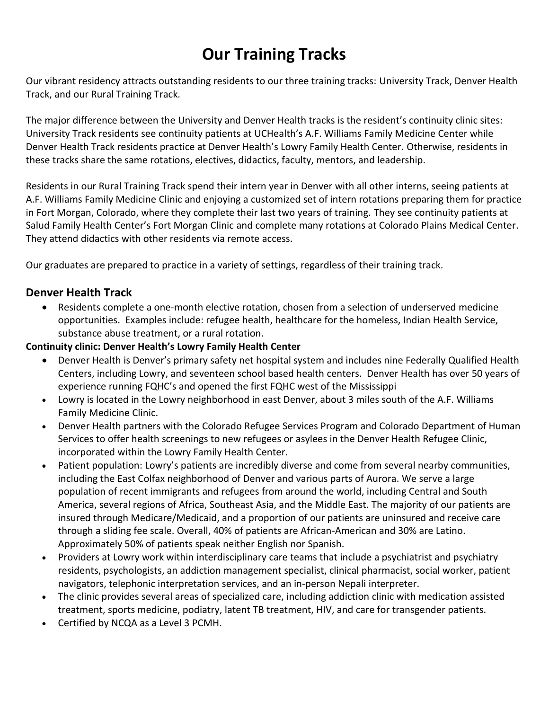## **Our Training Tracks**

Our vibrant residency attracts outstanding residents to our three training tracks: University Track, Denver Health Track, and our Rural Training Track.

The major difference between the University and Denver Health tracks is the resident's continuity clinic sites: University Track residents see continuity patients at UCHealth's A.F. Williams Family Medicine Center while Denver Health Track residents practice at Denver Health's Lowry Family Health Center. Otherwise, residents in these tracks share the same rotations, electives, didactics, faculty, mentors, and leadership.

Residents in our Rural Training Track spend their intern year in Denver with all other interns, seeing patients at A.F. Williams Family Medicine Clinic and enjoying a customized set of intern rotations preparing them for practice in Fort Morgan, Colorado, where they complete their last two years of training. They see continuity patients at Salud Family Health Center's Fort Morgan Clinic and complete many rotations at Colorado Plains Medical Center. They attend didactics with other residents via remote access.

Our graduates are prepared to practice in a variety of settings, regardless of their training track.

## **Denver Health Track**

 Residents complete a one-month elective rotation, chosen from a selection of underserved medicine opportunities. Examples include: refugee health, healthcare for the homeless, Indian Health Service, substance abuse treatment, or a rural rotation.

#### **Continuity clinic: Denver Health's Lowry Family Health Center**

- Denver Health is Denver's primary safety net hospital system and includes nine Federally Qualified Health Centers, including Lowry, and seventeen school based health centers. Denver Health has over 50 years of experience running FQHC's and opened the first FQHC west of the Mississippi
- Lowry is located in the Lowry neighborhood in east Denver, about 3 miles south of the A.F. Williams Family Medicine Clinic.
- Denver Health partners with the Colorado Refugee Services Program and Colorado Department of Human Services to offer health screenings to new refugees or asylees in the Denver Health Refugee Clinic, incorporated within the Lowry Family Health Center.
- Patient population: Lowry's patients are incredibly diverse and come from several nearby communities, including the East Colfax neighborhood of Denver and various parts of Aurora. We serve a large population of recent immigrants and refugees from around the world, including Central and South America, several regions of Africa, Southeast Asia, and the Middle East. The majority of our patients are insured through Medicare/Medicaid, and a proportion of our patients are uninsured and receive care through a sliding fee scale. Overall, 40% of patients are African-American and 30% are Latino. Approximately 50% of patients speak neither English nor Spanish.
- Providers at Lowry work within interdisciplinary care teams that include a psychiatrist and psychiatry residents, psychologists, an addiction management specialist, clinical pharmacist, social worker, patient navigators, telephonic interpretation services, and an in-person Nepali interpreter.
- The clinic provides several areas of specialized care, including addiction clinic with medication assisted treatment, sports medicine, podiatry, latent TB treatment, HIV, and care for transgender patients.
- Certified by NCQA as a Level 3 PCMH.